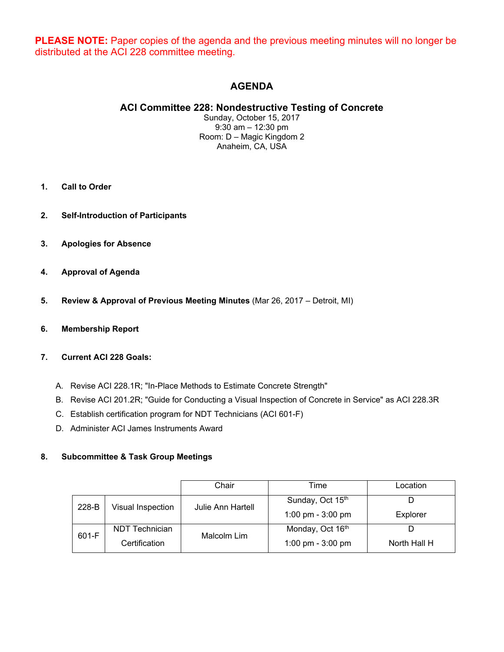**PLEASE NOTE:** Paper copies of the agenda and the previous meeting minutes will no longer be distributed at the ACI 228 committee meeting.

# **AGENDA**

# **ACI Committee 228: Nondestructive Testing of Concrete**

Sunday, October 15, 2017 9:30 am – 12:30 pm Room: D – Magic Kingdom 2 Anaheim, CA, USA

- **1. Call to Order**
- **2. Self-Introduction of Participants**
- **3. Apologies for Absence**
- **4. Approval of Agenda**
- **5. Review & Approval of Previous Meeting Minutes** (Mar 26, 2017 Detroit, MI)
- **6. Membership Report**

# **7. Current ACI 228 Goals:**

- A. Revise ACI 228.1R; "In-Place Methods to Estimate Concrete Strength"
- B. Revise ACI 201.2R; "Guide for Conducting a Visual Inspection of Concrete in Service" as ACI 228.3R
- C. Establish certification program for NDT Technicians (ACI 601-F)
- D. Administer ACI James Instruments Award

### **8. Subcommittee & Task Group Meetings**

|       |                   | Chair             | Time                | Location     |
|-------|-------------------|-------------------|---------------------|--------------|
| 228-B | Visual Inspection | Julie Ann Hartell | Sunday, Oct 15th    |              |
|       |                   |                   | 1:00 pm - $3:00$ pm | Explorer     |
| 601-F | NDT Technician    | Malcolm Lim       | Monday, Oct 16th    |              |
|       | Certification     |                   | 1:00 pm - $3:00$ pm | North Hall H |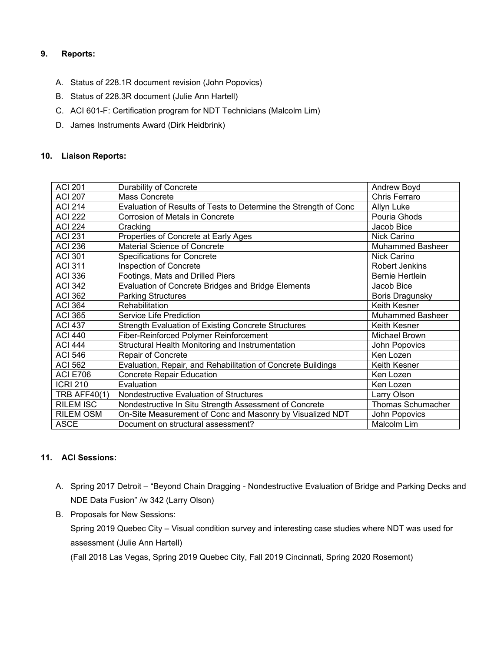# **9. Reports:**

- A. Status of 228.1R document revision (John Popovics)
- B. Status of 228.3R document (Julie Ann Hartell)
- C. ACI 601-F: Certification program for NDT Technicians (Malcolm Lim)
- D. James Instruments Award (Dirk Heidbrink)

# **10. Liaison Reports:**

| <b>ACI 201</b>      | Durability of Concrete                                           | Andrew Boyd             |
|---------------------|------------------------------------------------------------------|-------------------------|
| <b>ACI 207</b>      | Mass Concrete                                                    | Chris Ferraro           |
| <b>ACI 214</b>      | Evaluation of Results of Tests to Determine the Strength of Conc | Allyn Luke              |
| <b>ACI 222</b>      | Corrosion of Metals in Concrete                                  | Pouria Ghods            |
| <b>ACI 224</b>      | Cracking                                                         | Jacob Bice              |
| <b>ACI 231</b>      | Properties of Concrete at Early Ages                             | Nick Carino             |
| <b>ACI 236</b>      | Material Science of Concrete                                     | <b>Muhammed Basheer</b> |
| <b>ACI 301</b>      | <b>Specifications for Concrete</b>                               | Nick Carino             |
| <b>ACI 311</b>      | Inspection of Concrete                                           | <b>Robert Jenkins</b>   |
| <b>ACI 336</b>      | Footings, Mats and Drilled Piers                                 | Bernie Hertlein         |
| <b>ACI 342</b>      | Evaluation of Concrete Bridges and Bridge Elements               | Jacob Bice              |
| <b>ACI 362</b>      | <b>Parking Structures</b>                                        | <b>Boris Dragunsky</b>  |
| <b>ACI 364</b>      | <b>Rehabilitation</b>                                            | Keith Kesner            |
| <b>ACI 365</b>      | Service Life Prediction                                          | <b>Muhammed Basheer</b> |
| <b>ACI 437</b>      | <b>Strength Evaluation of Existing Concrete Structures</b>       | Keith Kesner            |
| <b>ACI 440</b>      | Fiber-Reinforced Polymer Reinforcement                           | Michael Brown           |
| <b>ACI 444</b>      | Structural Health Monitoring and Instrumentation                 | John Popovics           |
| <b>ACI 546</b>      | Repair of Concrete                                               | Ken Lozen               |
| <b>ACI 562</b>      | Evaluation, Repair, and Rehabilitation of Concrete Buildings     | Keith Kesner            |
| <b>ACI E706</b>     | <b>Concrete Repair Education</b>                                 | Ken Lozen               |
| <b>ICRI 210</b>     | Evaluation                                                       | Ken Lozen               |
| <b>TRB AFF40(1)</b> | Nondestructive Evaluation of Structures                          | Larry Olson             |
| <b>RILEM ISC</b>    | Nondestructive In Situ Strength Assessment of Concrete           | Thomas Schumacher       |
| <b>RILEM OSM</b>    | On-Site Measurement of Conc and Masonry by Visualized NDT        | John Popovics           |
| <b>ASCE</b>         | Document on structural assessment?                               | Malcolm Lim             |

# **11. ACI Sessions:**

- A. Spring 2017 Detroit "Beyond Chain Dragging Nondestructive Evaluation of Bridge and Parking Decks and NDE Data Fusion" /w 342 (Larry Olson)
- B. Proposals for New Sessions:

Spring 2019 Quebec City – Visual condition survey and interesting case studies where NDT was used for assessment (Julie Ann Hartell)

(Fall 2018 Las Vegas, Spring 2019 Quebec City, Fall 2019 Cincinnati, Spring 2020 Rosemont)